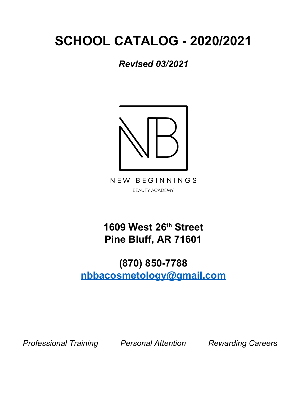# **SCHOOL CATALOG - 2020/2021**

*Revised 03/2021*



NEW BEGINNINGS **BEAUTY ACADEMY** 

**1609 West 26th Street Pine Bluff, AR 71601**

## **(870) 850-7788 nbbacosmetology@gmail.com**

*Professional Training Personal Attention Rewarding Careers*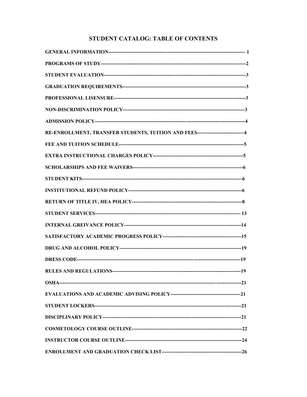### STUDENT CATALOG: TABLE OF CONTENTS

| RE-ENROLLMENT, TRANSFER STUDENTS, TUITION AND FEES----------------------------4 |  |
|---------------------------------------------------------------------------------|--|
|                                                                                 |  |
|                                                                                 |  |
|                                                                                 |  |
|                                                                                 |  |
|                                                                                 |  |
|                                                                                 |  |
|                                                                                 |  |
|                                                                                 |  |
|                                                                                 |  |
|                                                                                 |  |
|                                                                                 |  |
|                                                                                 |  |
|                                                                                 |  |
|                                                                                 |  |
|                                                                                 |  |
|                                                                                 |  |
|                                                                                 |  |
|                                                                                 |  |
|                                                                                 |  |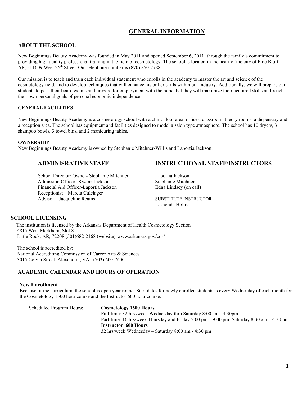#### **GENERAL INFORMATION**

#### **ABOUT THE SCHOOL**

New Beginnings Beauty Academy was founded in May 2011 and opened September 6, 2011, through the family's commitment to providing high quality professional training in the field of cosmetology. The school is located in the heart of the city of Pine Bluff, AR, at 1609 West  $26<sup>th</sup>$  Street. Our telephone number is (870) 850-7788.

 Our mission is to teach and train each individual statement who enrolls in the academy to master the art and science of the cosmetology field, and to develop techniques that will enhance his or her skills within our industry. Additionally, we will prepare our students to pass their board exams and prepare for employment with the hope that they will maximize their acquired skills and reach their own personal goals of personal economic independence.

#### **GENERAL FACILITIES**

New Beginnings Beauty Academy is a cosmetology school with a clinic floor area, offices, classroom, theory rooms, a dispensary and a reception area. The school has equipment and facilities designed to model a salon type atmosphere. The school has 10 dryers, 3 shampoo bowls, 3 towel bins, and 2 manicuring tables,

#### **OWNERSHIP**

New Beginnings Beauty Academy is owned by Stephanie Mitchner-Willis and Laportia Jackson.

School Director/ Owner- Stephanie Mitchner Laportia Jackson Admission Officer- Kwanz Jackson Stephanie Mitchner Financial Aid Officer-Laportia Jackson Edna Lindsey (on call) Receptionist—Marcia Culclager Advisor—Jacqueline Reams SUBSTITUTE INSTRUCTOR

#### **ADMINISRATIVE STAFF INSTRUCTIONAL STAFF/INSTRUCTORS**

Lashonda Holmes

#### **SCHOOL LICENSING**

 The institution is licensed by the Arkansas Department of Health Cosmetology Section 4815 West Markham, Slot 8 Little Rock, AR, 72208 (501)682-2168 (website)-www.arkansas.gov/cos/

 The school is accredited by: National Accrediting Commission of Career Arts & Sciences 3015 Colvin Street, Alexandria, VA (703) 600-7600

#### **ACADEMIC CALENDAR AND HOURS OF OPERATION**

#### **New Enrollment**

 Because of the curriculum, the school is open year round. Start dates for newly enrolled students is every Wednesday of each month for the Cosmetology 1500 hour course and the Instructor 600 hour course.

Scheduled Program Hours: **Cosmetology 1500 Hours** Full-time: 32 hrs /week Wednesday thru Saturday 8:00 am - 4:30pm Part-time: 16 hrs/week Thursday and Friday 5:00 pm – 9:00 pm; Saturday 8:30 am – 4:30 pm **Instructor 600 Hours** 32 hrs/week Wednesday – Saturday 8:00 am - 4:30 pm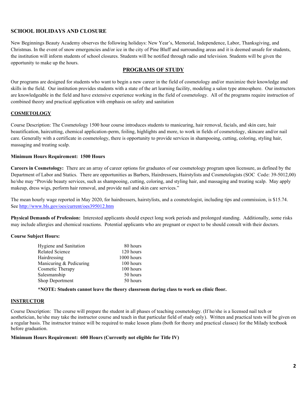#### **SCHOOL HOLIDAYS AND CLOSURE**

New Beginnings Beauty Academy observes the following holidays: New Year's, Memorial, Independence, Labor, Thanksgiving, and Christmas. In the event of snow emergencies and/or ice in the city of Pine Bluff and surrounding areas and it is deemed unsafe for students, the institution will inform students of school closures. Students will be notified through radio and television. Students will be given the opportunity to make up the hours.

#### **PROGRAMS OF STUDY**

Our programs are designed for students who want to begin a new career in the field of cosmetology and/or maximize their knowledge and skills in the field. Our institution provides students with a state of the art learning facility, modeling a salon type atmosphere. Our instructors are knowledgeable in the field and have extensive experience working in the field of cosmetology. All of the programs require instruction of combined theory and practical application with emphasis on safety and sanitation

#### **COSMETOLOGY**

Course Description: The Cosmetology 1500 hour course introduces students to manicuring, hair removal, facials, and skin care, hair beautification, haircutting, chemical application-perm, foiling, highlights and more, to work in fields of cosmetology, skincare and/or nail care. Generally with a certificate in cosmetology, there is opportunity to provide services in shampooing, cutting, coloring, styling hair, massaging and treating scalp.

#### **Minimum Hours Requirement: 1500 Hours**

**Careers in Cosmetology:** There are an array of career options for graduates of our cosmetology program upon licensure, as defined by the Department of Labor and Statics. There are opportunities as Barbers, Hairdressers, Hairstylists and Cosmetologists (SOC Code: 39-5012,00) he/she may "Provide beauty services, such as shampooing, cutting, coloring, and styling hair, and massaging and treating scalp. May apply makeup, dress wigs, perform hair removal, and provide nail and skin care services."

The mean hourly wage reported in May 2020, for hairdressers, hairstylists, and a cosmetologist, including tips and commission, is \$15.74. See<http://www.bls.gov/oes/current/oes395012.htm>

**Physical Demands of Profession:** Interested applicants should expect long work periods and prolonged standing. Additionally, some risks may include allergies and chemical reactions. Potential applicants who are pregnant or expect to be should consult with their doctors.

#### **Course Subject Hours:**

| <b>Hygiene and Sanitation</b> | 80 hours   |
|-------------------------------|------------|
| <b>Related Science</b>        | 120 hours  |
| Hairdressing                  | 1000 hours |
| Manicuring & Pedicuring       | 100 hours  |
| Cosmetic Therapy              | 100 hours  |
| Salesmanship                  | 50 hours   |
| <b>Shop Deportment</b>        | 50 hours   |
|                               |            |

**\*NOTE: Students cannot leave the theory classroom during class to work on clinic floor.**

#### **INSTRUCTOR**

Course Description: The course will prepare the student in all phases of teaching cosmetology. (If he/she is a licensed nail tech or aesthetician, he/she may take the instructor course and teach in that particular field of study only). Written and practical tests will be given on a regular basis. The instructor trainee will be required to make lesson plans (both for theory and practical classes) for the Milady textbook before graduation.

#### **Minimum Hours Requirement: 600 Hours (Currently not eligible for Title IV)**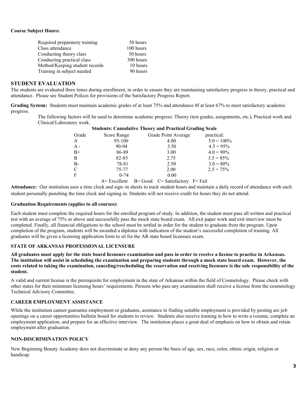#### **Course Subject Hours:**

| Required preparatory training  | 50 hours  |
|--------------------------------|-----------|
| Class attendance               | 100 hours |
| Conducting theory class        | 50 hours  |
| Conducting practical class     | 300 hours |
| Method/Keeping student records | 10 hours  |
| Training in subject needed     | 90 hours  |

#### **STUDENT EVALUATION**

The students are evaluated three times during enrollment, in order to ensure they are maintaining satisfactory progress in theory, practical and attendance. Please see Student Polices for provisions of the Satisfactory Progress Report.

**Grading System:** Students must maintain academic grades of at least 75% and attendance 0f at least 67% to meet satisfactory academic progress.

The following factors will be used to determine academic progress: Theory (test grades, assignments, etc.), Practical work and Clinical/Laboratory work.

|               |             | <b>Students: Cumulative Theory and Practical Grading Scale</b> |               |
|---------------|-------------|----------------------------------------------------------------|---------------|
| Grade         | Score Range | Grade Point Average                                            | practical:    |
| A             | 95-100      | 4.00                                                           | $5.0 = 100\%$ |
| $A -$         | $90 - 94$   | 3.50                                                           | $4.5 = 95\%$  |
| $B+$          | 86-89       | 3.00                                                           | $4.0 = 90\%$  |
| B             | 82-85       | 2.75                                                           | $3.5 = 85\%$  |
| $B -$         | 78-81       | 2.50                                                           | $3.0 = 80\%$  |
| $\mathcal{C}$ | 75-77       | 2.00                                                           | $2.5 = 75\%$  |
| $\mathbf{F}$  | $0 - 74$    | 0.00                                                           |               |

 $A=$  Excellent  $B=$  Good  $C=$  Satisfactory  $F=$  Fail

**Attendance:** Our institution uses a time clock and sign–in sheets to track student hours and maintain a daily record of attendance with each student personally punching the time clock and signing in. Students will not receive credit for hours they do not attend.

#### **Graduation Requirements (applies to all courses):**

Each student must complete the required hours for the enrolled program of study. In addition, the student must pass all written and practical test with an average of 75% or above and successfully pass the mock state board exam. All exit paper work and exit interview must be completed. Finally, all financial obligations to the school must be settled in order for the student to graduate from the program. Upon completion of the program, students will be awarded a diploma with indication of the student's successful completion of training. All graduates will be given a licensing application form to sit for the AR state board licensure exam.

#### **STATE OF ARKANSAS PROFESSIONAL LICENSURE**

**All graduates must apply for the state board licensure examination and pass in order to receive a license to practice in Arkansas. The institution will assist in scheduling the examination and preparing students through a mock state board exam. However, the costs related to taking the examination, canceling/rescheduling the reservation and receiving licensure is the sole responsibility of the student.** 

A valid and current license is the prerequisite for employment in the state of Arkansas within the field of Cosmetology. Please check with other states for their minimum licensing hours' requirements. Persons who pass any examination shall receive a license from the cosmetology Technical Advisory Committee.

#### **CAREER EMPLOYMENT ASSISTANCE**

While the institution cannot guarantee employment or graduates, assistance in finding suitable employment is provided by posting are job openings on a career opportunities bulletin board for students to review. Students also receive training in how to write a resume, complete an employment application, and prepare for an effective interview. The institution places a great deal of emphasis on how to obtain and retain employment after graduation.

#### **NON-DISCRIMINATION POLICY**

New Beginning Beauty Academy does not discriminate or deny any person the basis of age, sex, race, color, ethnic origin, religion or handicap.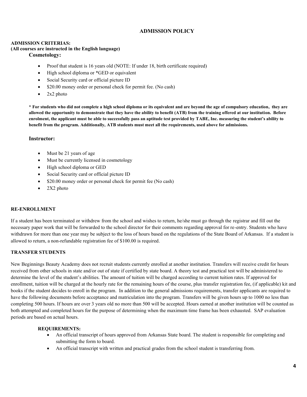#### **ADMISSION POLICY**

#### **ADMISSION CRITERIAS:**

#### **(All courses are instructed in the English language)**

#### **Cosmetology:**

- Proof that student is 16 years old (NOTE: If under 18, birth certificate required)
- High school diploma or \*GED or equivalent
- Social Security card or official picture ID
- \$20.00 money order or personal check for permit fee. (No cash)
- 2x2 photo

**\* For students who did not complete a high school diploma or its equivalent and are beyond the age of compulsory education, they are allowed the opportunity to demonstrate that they have the ability to benefit (ATB) from the training offered at our institution. Before enrolment, the applicant must be able to successfully pass an aptitude test provided by TABE, Inc. measuring the student's ability to benefit from the program. Additionally, ATB students must meet all the requirements, used above for admissions.**

#### **Instructor:**

- Must be 21 years of age
- Must be currently licensed in cosmetology
- High school diploma or GED
- Social Security card or official picture ID
- \$20.00 money order or personal check for permit fee (No cash)
- $\bullet$  2X2 photo

#### **RE-ENROLLMENT**

If a student has been terminated or withdrew from the school and wishes to return, he/she must go through the registrar and fill out the necessary paper work that will be forwarded to the school director for their comments regarding approval for re-entry. Students who have withdrawn for more than one year may be subject to the loss of hours based on the regulations of the State Board of Arkansas. If a student is allowed to return, a non-refundable registration fee of \$100.00 is required.

#### **TRANSFER STUDENTS**

New Beginnings Beauty Academy does not recruit students currently enrolled at another institution. Transfers will receive credit for hours received from other schools in state and/or out of state if certified by state board. A theory test and practical test will be administered to determine the level of the student's abilities. The amount of tuition will be charged according to current tuition rates. If approved for enrollment, tuition will be charged at the hourly rate for the remaining hours of the course, plus transfer registration fee, (if applicable) kit and books if the student decides to enroll in the program. In addition to the general admissions requirements, transfer applicants are required to have the following documents before acceptance and matriculation into the program. Transfers will be given hours up to 1000 no less than completing 500 hours. If hours are over 3 years old no more than 500 will be accepted. Hours earned at another institution will be counted as both attempted and completed hours for the purpose of determining when the maximum time frame has been exhausted. SAP evaluation periods are based on actual hours.

#### **REQUIREMENTS:**

- An official transcript of hours approved from Arkansas State board. The student is responsible for completing and submitting the form to board.
- An official transcript with written and practical grades from the school student is transferring from.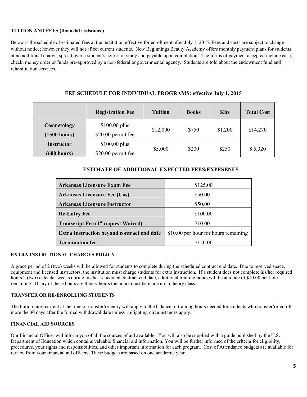#### **TUITION AND FEES (financial assistance)**

Below is the schedule of estimated fees at the institution effective for enrollment after July 1, 2015. Fees and costs are subject to change without notice; however they will not affect current students. New Beginnings Beauty Academy offers monthly payment plans for students at no additional charge, spread over a student's course of study and payable upon completion. The forms of payment accepted include cash, check, money order or funds pre-approved by a non-federal or governmental agency. Students are told about the endowment fund and rehabilitation services.

|                                  | <b>Registration Fee</b>              | <b>Tuition</b> | <b>Books</b> | <b>Kits</b> | <b>Total Cost</b> |
|----------------------------------|--------------------------------------|----------------|--------------|-------------|-------------------|
| Cosmetology<br>(1500 hours)      | $$100.00$ plus<br>\$20.00 permit fee | \$12,000       | \$750        | \$1,200     | \$14,270          |
| <b>Instructor</b><br>(600 hours) | $$100.00$ plus<br>\$20.00 permit fee | \$5,000        | \$200        | \$250       | \$5,320           |

#### **FEE SCHEDULE FOR INDIVIDUAL PROGRAMS: effective July 1, 2015**

#### **ESTIMATE OF ADDITIONAL EXPECTED FEES/EXPESENES**

| <b>Arkansas Licensure Exam Fee</b>                | \$125.00                             |
|---------------------------------------------------|--------------------------------------|
| <b>Arkansas Licensure Fee (Cos)</b>               | \$50.00                              |
| <b>Arkansas Licensure Instructor</b>              | \$50.00                              |
| <b>Re-Entry Fee</b>                               | \$100.00                             |
| <b>Transcript Fee (1st request Waived)</b>        | \$10.00                              |
| <b>Extra Instruction beyond contract end date</b> | \$10.00 per hour for hours remaining |
| <b>Termination fee</b>                            | \$150.00                             |

#### **EXTRA INSTRUTIONAL CHARGES POLICY**

A grace period of 2 (two) weeks will be allowed for students to complete during the scheduled contract end date. Due to reserved space, equipment and licensed instructors, the institution must charge students for extra instruction. If a student does not complete his/her required hours 2 (two) calendar weeks during his/her scheduled contract end date, additional training hours will be at a rate of \$10.00 per hour remaining. If any of these hours are theory hours the hours must be made up in theory class.

#### **TRANSFER OR RE-ENROLLING STUDENTS**

The tuition rates current at the time of transfer/re-entry will apply to the balance of training hours needed for students who transfer/re-enroll more the 30 days after the formal withdrawal date unless mitigating circumstances apply.

#### **FINANCIAL AID SOURCES**

Our Financial Officer will inform you of all the sources of aid available. You will also be supplied with a guide published by the U.S. Department of Education which contains valuable financial aid information. You will be further informed of the criteria for eligibility, procedures, your rights and responsibilities, and other important information for each program. Cost of Attendance budgets are available for review from your financial aid officers. These budgets are based on one academic year.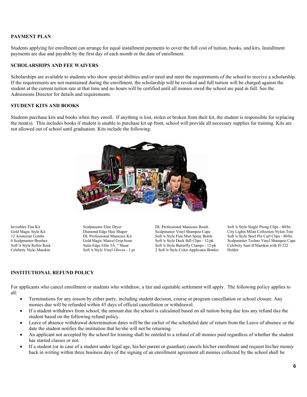#### **PAYMENT PLAN**

Students applying for enrollment can arrange for equal installment payments to cover the full cost of tuition, books, and kits. Installment payments are due and payable by the first day of each month or the date of enrollment.

#### **SCHOLARSHIPS AND FEE WAIVERS**

Scholarships are available to students who show special abilities and/or need and meet the requirements of the school to receive a scholarship. If the requirements are not maintained during the enrollment, the scholarship will be revoked and full tuition will be charged against the student at the current tuition rate at that time and no hours will be certified until all monies owed the school are paid in full. See the Admissions Director for details and requirements.

#### **STUDENT KITS AND BOOKS**

Students purchase kits and books when they enroll. If anything is lost, stolen or broken from their kit, the student is responsible for replacing the item(s). This includes books if student is unable to purchase kit up front, school will provide all necessary supplies for training. Kits are not allowed out of school until graduation. Kits include the following:



Invisibles Tint Kit Gold Magic Style Kit 12 Aristocrat Combs 6 Scalpmaster Brushes Soft 'n Style Roller Rack Celebrity Nicki Manikin Scalpmaster Elite Dryer Diamond Edge Hair Shaper DL Professional Manicure Kit Gold Magic Marcel Grip Irons Satin Edge Elite 5Â\_" Shear Soft 'n Style Vinyl Gloves - 1 pr DL Professional Manicure Brush Scalpmaster Vinyl Shampoo Cape Soft 'n Style Fine Mist Spray Bottle Soft 'n Style Duck Bill Clips - 12/pk Soft 'n Style Butterfly Clamps - 12/pk 2 Soft 'n Style Color Applicator Bottles Soft 'n Style Single Prong Clips - 80/bx City Lights Milan Collection Nylon Tote Soft 'n Style Steel Pin Curl Clips - 80/bx Scalpmaster Techno Vinyl Shampoo Cape Celebrity Sam II Manikin with H-222 Holder

#### **INSTITUTIONAL REFUND POLICY**

For applicants who cancel enrollment or students who withdraw, a fair and equitable settlement will apply. The following policy applies to all:

- Terminations for any reason by either party, including student decision, course or program cancellation or school closure. Any monies due will be refunded within 45 days of official cancellation or withdrawal.
- If a student withdraws from school, the amount due the school is calculated based on all tuition being due less any refund due the student based on the following refund policy.
- Leave of absence withdrawal determination dates will be the earlier of the scheduled date of return from the Leave of absence or the date the student notifies the institution that he/she will not be returning.
- An applicant not accepted by the school for training shall be entitled to a refund of all monies paid regardless of whether the student has started classes or not.
- If a student (or in case of a student under legal age, his/her parent or guardian) cancels his/her enrollment and request his/her money back in writing within three business days of the signing of an enrollment agreement all monies collected by the school shall be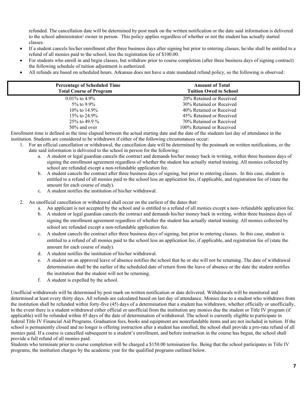refunded. The cancellation date will be determined by post mark on the written notification or the date said information is delivered to the school administrator/ owner in person. This policy applies regardless of whether or not the student has actually started classes.

- If a student cancels his/her enrollment after three business days after signing but prior to entering classes, he/she shall be entitled to a refund of all monies paid to the school, less the registration fee of \$100.00.
- For students who enroll in and begin classes, but withdraw prior to course completion (after three business days of signing contract) the following schedule of tuition adjustment is authorized.
- All refunds are based on scheduled hours. Arkansas does not have a state mandated refund policy, so the following is observed:

| <b>Percentage of Scheduled Time</b><br><b>Total Course of Program</b> | <b>Amount of Total</b><br><b>Tuition Owed to School</b> |  |
|-----------------------------------------------------------------------|---------------------------------------------------------|--|
| $0.01\%$ to 4.9%                                                      | 20% Retained or Received                                |  |
| 5\% to 9.9\%                                                          | 30% Retained or Received                                |  |
| 10\% to 14.9\%                                                        | 40% Retained or Received                                |  |
| 15\% to 24.9\%                                                        | 45% Retained or Received                                |  |
| 25\% to 49.9 \%                                                       | 70% Retained or Received                                |  |
| $50\%$ and over                                                       | 100% Retained or Received                               |  |

Enrollment time is defined as the time elapsed between the actual starting date and the date of the students last day of attendance in the institution. Students are considered to be withdrawn if either of the following circumstances occur:

- 1. For an official cancellation or withdrawal, the cancellation date will be determined by the postmark on written notifications, or the date said information is delivered to the school in person for the following:
	- a. A student or legal guardian cancels the contract and demands his/her money back in writing, within three business days of signing the enrollment agreement regardless of whether the student has actually started training. All monies collected by school are refunded except a non-refundable application fee.
	- b. A student cancels the contract after three business days of signing, but prior to entering classes. In this case, student is entitled to a refund of all monies paid to the school less an application fee, if applicable, and registration fee of (state the amount for each course of study).
	- c. A student notifies the institution of his/her withdrawal.
- 2. An unofficial cancellation or withdrawal shall occur on the earliest of the dates that:
	- a. An applicant is not accepted by the school and is entitled to a refund of all monies except a non- refundable application fee.
	- b. A student or legal guardian cancels the contract and demands his/her money back in writing, within three business days of signing the enrollment agreement regardless of whether the student has actually started training. All monies collected by school are refunded except a non-refundable application fee.
	- c. A student cancels the contract after three business days of signing, but prior to entering classes. In this case, student is entitled to a refund of all monies paid to the school less an application fee, if applicable, and registration fee of (state the amount for each course of study).
	- d. A student notifies the institution of his/her withdrawal.
	- e. A student on an approved leave of absence notifies the school that he or she will not be returning. The date of withdrawal determination shall be the earlier of the scheduled date of return from the leave of absence or the date the student notifies the institution that the student will not be returning.
	- f. A student is expelled by the school.

Unofficial withdrawals will be determined by post mark on written notification or date delivered. Withdrawals will be monitored and determined at least every thirty days. All refunds are calculated based on last day of attendance. Monies due to a student who withdraws from the institution shall be refunded within forty-five (45) days of a determination that a student has withdrawn, whether officially or unofficially. In the event there is a student withdrawal either official or unofficial from the institution any monies due the student or Title IV program (if applicable) will be refunded within 45 days of the date of determination of withdrawal. The school is currently eligible to participate in federal Title IV Financial Aid Programs. Graduation fees, books and equipment are nonrefundable items and are not included in tuition. If the school is permanently closed and no longer is offering instruction after a student has enrolled, the school shall provide a pro-rata refund of all monies paid. If a course is cancelled subsequent to a student's enrollment, and before instruction in the course has begun, the school shall provide a full refund of all monies paid.

Students who terminate prior to course completion will be charged a \$150.00 termination fee. Being that the school participates in Title IV programs, the institution charges by the academic year for the qualified programs outlined below.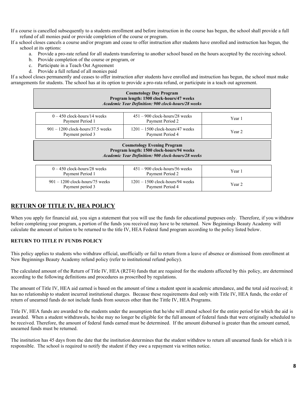If a course is cancelled subsequently to a students enrollment and before instruction in the course has begun, the school shall provide a full refund of all monies paid or provide completion of the course or program.

If a school closes cancels a course and/or program and cease to offer instruction after students have enrolled and instruction has begun, the school at its options:

- a. Provide a pro-rate refund for all students transferring to another school based on the hours accepted by the receiving school.
- b. Provide completion of the course or program, or
- c. Participate in a Teach Out Agreement
- d. Provide a full refund of all monies paid

If a school closes permanently and ceases to offer instruction after students have enrolled and instruction has begun, the school must make arrangements for students. The school has at its option to provide a pro-rata refund, or participate in a teach out agreement.

| <b>Cosmetology Day Program</b><br>Program length: 1500 clock-hours/47 weeks<br>Academic Year Definition: 900 clock-hours/28 weeks            |                                                      |        |  |  |
|----------------------------------------------------------------------------------------------------------------------------------------------|------------------------------------------------------|--------|--|--|
| $0 - 450$ clock-hours/14 weeks<br>Payment Period 1                                                                                           | $451 - 900$ clock-hours/28 weeks<br>Payment Period 2 | Year 1 |  |  |
| $901 - 1200$ clock-hours/37.5 weeks<br>$1201 - 1500$ clock-hours/47 weeks<br>Year 2<br>Payment Period 4<br>Payment period 3                  |                                                      |        |  |  |
| <b>Cosmetology Evening Program</b><br>Program length: 1500 clock-hours/94 weeks<br><b>Academic Year Definition: 900 clock-hours/28 weeks</b> |                                                      |        |  |  |

| $0 - 450$ clock-hours/28 weeks<br>Payment Period 1    | $451 - 900$ clock-hours/56 weeks<br>Payment Period 2   | Year 1 |
|-------------------------------------------------------|--------------------------------------------------------|--------|
| $901 - 1200$ clock-hours/75 weeks<br>Payment period 3 | $1201 - 1500$ clock-hours/94 weeks<br>Payment Period 4 | Year 2 |

#### **RETURN OF TITLE IV, HEA POLICY**

When you apply for financial aid, you sign a statement that you will use the funds for educational purposes only. Therefore, if you withdraw before completing your program, a portion of the funds you received may have to be returned. New Beginnings Beauty Academy will calculate the amount of tuition to be returned to the title IV, HEA Federal fund program according to the policy listed below.

#### **RETURN TO TITLE IV FUNDS POLICY**

This policy applies to students who withdraw official, unofficially or fail to return from a leave of absence or dismissed from enrollment at New Beginnings Beauty Academy refund policy (refer to institutional refund policy).

The calculated amount of the Return of Title IV, HEA (R2T4) funds that are required for the students affected by this policy, are determined according to the following definitions and procedures as proscribed by regulations.

The amount of Title IV, HEA aid earned is based on the amount of time a student spent in academic attendance, and the total aid received; it has no relationship to student incurred institutional charges. Because these requirements deal only with Title IV, HEA funds, the order of return of unearned funds do not include funds from sources other than the Tittle IV, HEA Programs.

Title IV, HEA funds are awarded to the students under the assumption that he/she will attend school for the entire period for which the aid is awarded. When a student withdrawals, he/she may no longer be eligible for the full amount of federal funds that were originally scheduled to be received. Therefore, the amount of federal funds earned must be determined. If the amount disbursed is greater than the amount earned, unearned funds must be returned.

The institution has 45 days from the date that the institution determines that the student withdrew to return all unearned funds for which it is responsible. The school is required to notify the student if they owe a repayment via written notice.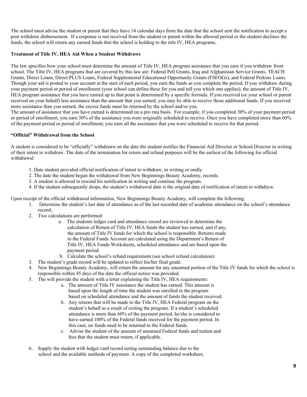The school must advise the student or parent that they have 14 calendar days from the date that the school sent the notification to accept a post withdraw disbursement. If a response is not received from the student or parent within the allowed period or the student declines the funds, the school will return any earned funds that the school is holding to the title IV, HEA programs.

#### **Treatment of Title IV, HEA Aid When a Student Withdraws**

The law specifies how your school must determine the amount of Title IV, HEA program assistance that you earn if you withdraw from school. The Title IV, HEA programs that are covered by this law are: Federal Pell Grants, Iraq and Afghanistan Service Grants, TEACH Grants, Direct Loans, Direct PLUS Loans, Federal Supplemental Educational Opportunity Grants (FSEOGs), and Federal Perkins Loans. Though your aid is posted to your account at the start of each period, you earn the funds as you complete the period. If you withdraw during your payment period or period of enrollment (your school can define these for you and tell you which one applies), the amount of Title IV, HEA program assistance that you have earned up to that point is determined by a specific formula. If you received (or your school or parent received on your behalf) less assistance than the amount that you earned, you may be able to receive those additional funds. If you received more assistance than you earned, the excess funds must be returned by the school and/or you.

The amount of assistance that you have earned is determined on a pro rata basis. For example, if you completed 30% of your payment period or period of enrollment, you earn 30% of the assistance you were originally scheduled to receive. Once you have completed more than 60% of the payment period or period of enrollment, you earn all the assistance that you were scheduled to receive for that period.

#### **"Official" Withdrawal from the School**

A student is considered to be "officially" withdrawn on the date the student notifies the Financial Aid Director or School Director in writing of their intent to withdraw. The date of the termination for return and refund purposes will be the earliest of the following for official withdrawal:

- 1. Date student provided official notification of intent to withdraw, in writing or orally.
- 2. The date the student began the withdrawal from New Beginnings Beauty Academy, records.
- 3. A student is allowed to rescind his notification in writing and continue the program.
- 4. If the student subsequently drops, the student's withdrawal date is the original date of notification of intent to withdraw.

Upon receipt of the official withdrawal information, New Beginnings Beauty Academy, will complete the following:

- 1. Determine the student's last date of attendance as of the last recorded date of academic attendance on the school's attendance record;
	- 2. Two calculations are performed:
		- a. The students ledger card and attendance record are reviewed to determine the calculation of Return of Title IV, HEA funds the student has earned, and if any, the amount of Title IV funds for which the school is responsible. Returns made to the Federal Funds Account are calculated using the Department's Return of Title IV, HEA Funds Worksheets, scheduled attendance and are based upon the payment period.
		- b. Calculate the school's refund requirement (see school refund calculation):
	- 3. The student's grade record will be updated to reflect his/her final grade.
	- 4. New Beginnings Beauty Academy, will return the amount for any unearned portion of the Title IV funds for which the school is responsible within 45 days of the date the official notice was provided.
	- 5. The will provide the student with a letter explaining the Title IV, HEA requirements:
		- a. The amount of Title IV assistance the student has earned. This amount is based upon the length of time the student was enrolled in the program based on scheduled attendance and the amount of funds the student received.
		- b. Any returns that will be made to the Title IV, HEA Federal program on the student's behalf as a result of exiting the program. If a student's scheduled attendance is more than 60% of the payment period, he/she is considered to have earned 100% of the Federal funds received for the payment period. In this case, no funds need to be returned to the Federal funds.
		- c. Advise the student of the amount of unearned Federal funds and tuition and fees that the student must return, if applicable.
	- 6. Supply the student with ledger card record noting outstanding balance due to the school and the available methods of payment. A copy of the completed worksheet,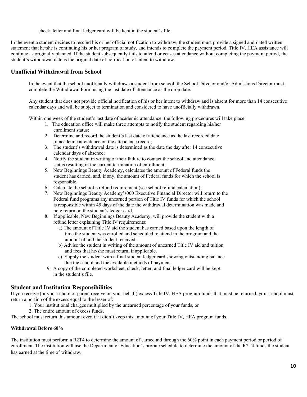check, letter and final ledger card will be kept in the student's file.

In the event a student decides to rescind his or her official notification to withdraw, the student must provide a signed and dated written statement that he/she is continuing his or her program of study, and intends to complete the payment period. Title IV, HEA assistance will continue as originally planned. If the student subsequently fails to attend or ceases attendance without completing the payment period, the student's withdrawal date is the original date of notification of intent to withdraw.

#### **Unofficial Withdrawal from School**

In the event that the school unofficially withdraws a student from school, the School Director and/or Admissions Director must complete the Withdrawal Form using the last date of attendance as the drop date.

Any student that does not provide official notification of his or her intent to withdraw and is absent for more than 14 consecutive calendar days and will be subject to termination and considered to have unofficially withdrawn.

Within one week of the student's last date of academic attendance, the following procedures will take place:

- 1. The education office will make three attempts to notify the student regarding his/her enrollment status;
- 2. Determine and record the student's last date of attendance as the last recorded date of academic attendance on the attendance record;
- 3. The student's withdrawal date is determined as the date the day after 14 consecutive calendar days of absence;
- 4. Notify the student in writing of their failure to contact the school and attendance status resulting in the current termination of enrollment;
- 5. New Beginnings Beauty Academy, calculates the amount of Federal funds the student has earned, and, if any, the amount of Federal funds for which the school is responsible.
- 6. Calculate the school's refund requirement (see school refund calculation);
- 7. New Beginnings Beauty Academy's000 Executive Financial Director will return to the Federal fund programs any unearned portion of Title IV funds for which the school is responsible within 45 days of the date the withdrawal determination was made and note return on the student's ledger card.
- 8. If applicable, New Beginnings Beauty Academy, will provide the student with a refund letter explaining Title IV requirements:
	- a) The amount of Title IV aid the student has earned based upon the length of time the student was enrolled and scheduled to attend in the program and the amount of aid the student received.
	- b) Advise the student in writing of the amount of unearned Title IV aid and tuition and fees that he/she must return, if applicable.
	- c) Supply the student with a final student ledger card showing outstanding balance due the school and the available methods of payment.
- 9. A copy of the completed worksheet, check, letter, and final ledger card will be kept in the student's file.

#### **Student and Institution Responsibilities**

If you receive (or your school or parent receive on your behalf) excess Title IV, HEA program funds that must be returned, your school must return a portion of the excess equal to the lesser of:

- 1. Your institutional charges multiplied by the unearned percentage of your funds, or
- 2. The entire amount of excess funds.

The school must return this amount even if it didn't keep this amount of your Title IV, HEA program funds.

#### **Withdrawal Before 60%**

The institution must perform a R2T4 to determine the amount of earned aid through the 60% point in each payment period or period of enrollment. The institution will use the Department of Education's prorate schedule to determine the amount of the R2T4 funds the student has earned at the time of withdraw.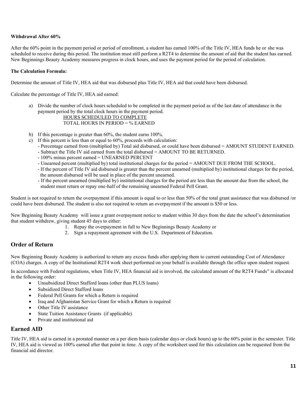#### **Withdrawal After 60%**

After the 60% point in the payment period or period of enrollment, a student has earned 100% of the Title IV, HEA funds he or she was scheduled to receive during this period. The institution must still perform a R2T4 to determine the amount of aid that the student has earned. New Beginnings Beauty Academy measures progress in clock hours, and uses the payment period for the period of calculation.

#### **The Calculation Formula:**

Determine the amount of Title IV, HEA aid that was disbursed plus Title IV, HEA aid that could have been disbursed.

Calculate the percentage of Title IV, HEA aid earned:

a) Divide the number of clock hours scheduled to be completed in the payment period as of the last date of attendance in the payment period by the total clock hours in the payment period.

#### HOURS SCHEDULED TO COMPLETE TOTAL HOURS IN PERIOD = % EARNED

- b) If this percentage is greater than 60%, the student earns 100%.
- c) If this percent is less than or equal to 60%, proceeds with calculation:
	- Percentage earned from (multiplied by) Total aid disbursed, or could have been disbursed = AMOUNT STUDENT EARNED.
	- Subtract the Title IV aid earned from the total disbursed = AMOUNT TO BE RETURNED.
	- 100% minus percent earned = UNEARNED PERCENT
	- Unearned percent (multiplied by) total institutional charges for the period = AMOUNT DUE FROM THE SCHOOL.
	- If the percent of Title IV aid disbursed is greater than the percent unearned (multiplied by) institutional charges for the period, the amount disbursed will be used in place of the percent unearned.
	- If the percent unearned (multiplied by) institutional charges for the period are less than the amount due from the school, the student must return or repay one-half of the remaining unearned Federal Pell Grant.

Student is not required to return the overpayment if this amount is equal to or less than 50% of the total grant assistance that was disbursed /or could have been disbursed. The student is also not required to return an overpayment if the amount is \$50 or less.

New Beginning Beauty Academy will issue a grant overpayment notice to student within 30 days from the date the school's determination that student withdrew, giving student 45 days to either:

- 1. Repay the overpayment in full to New Beginnings Beauty Academy or
- 2. Sign a repayment agreement with the U.S. Department of Education.

#### **Order of Return**

New Beginning Beauty Academy is authorized to return any excess funds after applying them to current outstanding Cost of Attendance (COA) charges. A copy of the Institutional R2T4 work sheet performed on your behalf is available through the office upon student request.

In accordance with Federal regulations, when Title IV, HEA financial aid is involved, the calculated amount of the R2T4 Funds" is allocated in the following order:

- Unsubsidized Direct Stafford loans (other than PLUS loans)
- Subsidized Direct Stafford loans
- Federal Pell Grants for which a Return is required
- Iraq and Afghanistan Service Grant for which a Return is required
- Other Title IV assistance
- State Tuition Assistance Grants (if applicable)
- Private and institutional aid

#### **Earned AID**

Title IV, HEA aid is earned in a prorated manner on a per diem basis (calendar days or clock hours) up to the 60% point in the semester. Title IV, HEA aid is viewed as 100% earned after that point in time. A copy of the worksheet used for this calculation can be requested from the financial aid director.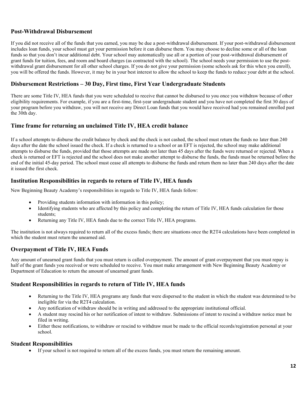#### **Post-Withdrawal Disbursement**

If you did not receive all of the funds that you earned, you may be due a post-withdrawal disbursement. If your post-withdrawal disbursement includes loan funds, your school must get your permission before it can disburse them. You may choose to decline some or all of the loan funds so that you don't incur additional debt. Your school may automatically use all or a portion of your post-withdrawal disbursement of grant funds for tuition, fees, and room and board charges (as contracted with the school). The school needs your permission to use the postwithdrawal grant disbursement for all other school charges. If you do not give your permission (some schools ask for this when you enroll), you will be offered the funds. However, it may be in your best interest to allow the school to keep the funds to reduce your debt at the school.

#### **Disbursement Restrictions – 30 Day, First time, First Year Undergraduate Students**

There are some Title IV, HEA funds that you were scheduled to receive that cannot be disbursed to you once you withdraw because of other eligibility requirements. For example, if you are a first-time, first-year undergraduate student and you have not completed the first 30 days of your program before you withdraw, you will not receive any Direct Loan funds that you would have received had you remained enrolled past the 30th day.

#### **Time frame for returning an unclaimed Title IV, HEA credit balance**

If a school attempts to disburse the credit balance by check and the check is not cashed, the school must return the funds no later than 240 days after the date the school issued the check. If a check is returned to a school or an EFT is rejected, the school may make additional attempts to disburse the funds, provided that those attempts are made not later than 45 days after the funds were returned or rejected. When a check is returned or EFT is rejected and the school does not make another attempt to disburse the funds, the funds must be returned before the end of the initial 45-day period. The school must cease all attempts to disburse the funds and return them no later than 240 days after the date it issued the first check.

#### **Institution Responsibilities in regards to return of Title IV, HEA funds**

New Beginning Beauty Academy's responsibilities in regards to Title IV, HEA funds follow:

- Providing students information with information in this policy;
- Identifying students who are affected by this policy and completing the return of Title IV, HEA funds calculation for those students;
- Returning any Title IV, HEA funds due to the correct Title IV, HEA programs.

The institution is not always required to return all of the excess funds; there are situations once the R2T4 calculations have been completed in which the student must return the unearned aid.

#### **Overpayment of Title IV, HEA Funds**

Any amount of unearned grant funds that you must return is called overpayment. The amount of grant overpayment that you must repay is half of the grant funds you received or were scheduled to receive. You must make arrangement with New Beginning Beauty Academy or Department of Education to return the amount of unearned grant funds.

#### **Student Responsibilities in regards to return of Title IV, HEA funds**

- Returning to the Title IV, HEA programs any funds that were dispersed to the student in which the student was determined to be ineligible for via the R2T4 calculation.
- Any notification of withdraw should be in writing and addressed to the appropriate institutional official.
- A student may rescind his or her notification of intent to withdraw. Submissions of intent to rescind a withdraw notice must be filed in writing.
- Either these notifications, to withdraw or rescind to withdraw must be made to the official records/registration personal at your school.

#### **Student Responsibilities**

If your school is not required to return all of the excess funds, you must return the remaining amount.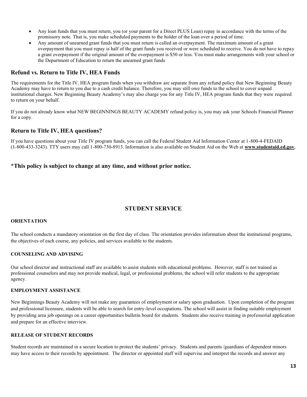- Any loan funds that you must return, you (or your parent for a Direct PLUS Loan) repay in accordance with the terms of the promissory note. That is, you make scheduled payments to the holder of the loan over a period of time.
- Any amount of unearned grant funds that you must return is called an overpayment. The maximum amount of a grant overpayment that you must repay is half of the grant funds you received or were scheduled to receive. You do not have to repay a grant overpayment if the original amount of the overpayment is \$50 or less. You must make arrangements with your school or the Department of Education to return the unearned grant funds

#### **Refund vs. Return to Title IV, HEA Funds**

The requirements for the Title IV, HEA program funds when you withdraw are separate from any refund policy that New Beginning Beauty Academy may have to return to you due to a cash credit balance. Therefore, you may still owe funds to the school to cover unpaid institutional charges. New Beginning Beauty Academy's may also charge you for any Title IV, HEA program funds that they were required to return on your behalf.

If you do not already know what NEW BEGINNINGS BEAUTY ACADEMY refund policy is, you may ask your Schools Financial Planner for a copy.

#### **Return to Title IV, HEA questions?**

If you have questions about your Title IV program funds, you can call the Federal Student Aid Information Center at 1-800-4-FEDAID (1-800-433-3243). TTY users may call 1-800-730-8913. Information is also available on Student Aid on the Web at **[www.studentaid.ed.gov.](http://www.studentaid.ed.gov/)**

#### \***This policy is subject to change at any time, and without prior notice.**

#### **STUDENT SERVICE**

#### **ORIENTATION**

The school conducts a mandatory orientation on the first day of class. The orientation provides information about the institutional programs, the objectives of each course, any policies, and services available to the students.

#### **COUNSELING AND ADVISING**

Our school director and instructional staff are available to assist students with educational problems. However, staff is not trained as professional counselors and may not provide medical, legal, or professional problems, the school will refer students to the appropriate agency.

#### **EMPLOYMENT ASSISTANCE**

New Beginnings Beauty Academy will not make any guarantees of employment or salary upon graduation. Upon completion of the program and professional licensure, students will be able to search for entry-level occupations. The school will assist in finding suitable employment by providing area job openings on a career opportunities bulletin board for students. Students also receive training in professorial application and prepare for an effective interview.

#### **RELEASE OF STUDENT RECORDS**

Student records are maintained in a secure location to protect the students' privacy. Students and parents /guardians of dependent minors may have access to their records by appointment. The director or appointed staff will supervise and interpret the records and answer any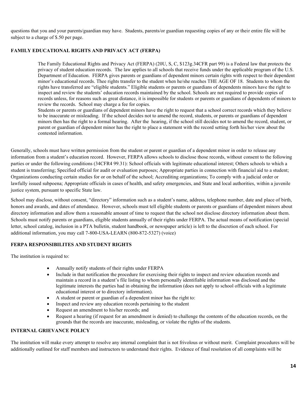questions that you and your parents/guardian may have. Students, parents/or guardian requesting copies of any or their entire file will be subject to a charge of \$.50 per page.

#### **FAMILY EDUCATIONAL RIGHTS AND PRIVACY ACT (FERPA)**

The Family Educational Rights and Privacy Act (FERPA) (20U, S, C, \$123g.34CFR part 99) is a Federal law that protects the privacy of student education records. The law applies to all schools that receive funds under the applicable program of the U.S. Department of Education. FERPA gives parents or guardians of dependent minors certain rights with respect to their dependent minor's educational records. Thee rights transfer to the student when he/she reaches THE AGE OF 18. Students to whom the rights have transferred are "eligible students." Eligible students or parents or guardians of dependents minors have the right to inspect and review the students' education records maintained by the school. Schools are not required to provide copies of records unless, for reasons such as great distance, it is impossible for students or parents or guardians of dependents of minors to review the records. School may charge a fee for copies.

Students or parents or guardians of dependent minors have the right to request that a school correct records which they believe to be inaccurate or misleading. If the school decides not to amend the record, students, or parents or guardians of dependent minors then has the right to a formal hearing. After the hearing, if the school still decides not to amend the record, student, or parent or guardian of dependent minor has the right to place a statement with the record setting forth his/her view about the contested information.

Generally, schools must have written permission from the student or parent or guardian of a dependent minor in order to release any information from a student's education record. However, FERPA allows schools to disclose those records, without consent to the following parties or under the following conditions (34CFR4 99.31): School officials with legitimate educational interest; Others schools to which a student is transferring; Specified official for audit or evaluation purposes; Appropriate parties in connection with financial aid to a student; Organizations conducting certain studies for or on behalf of the school; Accrediting organizations; To comply with a judicial order or lawfully issued subpoena; Appropriate officials in cases of health, and safety emergencies, and State and local authorities, within a juvenile justice system, pursuant to specific State law.

School may disclose, without consent, "directory" information such as a student's name, address, telephone number, date and place of birth, honors and awards, and dates of attendance. However, schools must tell eligible students or parents or guardians of dependent minors about directory information and allow them a reasonable amount of time to request that the school not disclose directory information about them. Schools must notify parents or guardians, eligible students annually of their rights under FERPA. The actual means of notification (special letter, school catalog, inclusion in a PTA bulletin, student handbook, or newspaper article) is left to the discretion of each school. For additional information, you may call 7-800-USA-LEARN (800-872-5327) (voice)

#### **FERPA RESPONSIBILITES AND STUDENT RIGHTS**

The institution is required to:

- Annually notify students of their rights under FERPA
- Include in that notification the procedure for exercising their rights to inspect and review education records and maintain a record in a student's file listing to whom personally identifiable information was disclosed and the legitimate interests the parties had in obtaining the information (does not apply to school officials with a legitimate educational interest or to directory information).
- A student or parent or guardian of a dependent minor has the right to:
- Inspect and review any education records pertaining to the student
- Request an amendment to his/her records; and
- Request a hearing (if request for an amendment is denied) to challenge the contents of the education records, on the grounds that the records are inaccurate, misleading, or violate the rights of the students.

#### **INTERNAL GRIEVANCE POLICY**

The institution will make every attempt to resolve any internal complaint that is not frivolous or without merit. Complaint procedures will be additionally outlined for staff members and instructors to understand their rights. Evidence of final resolution of all complaints will be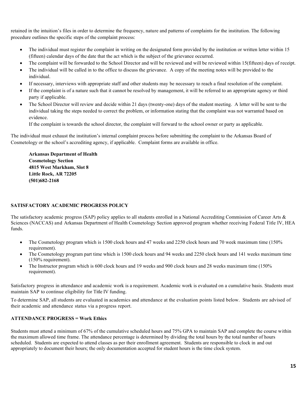retained in the intuition's files in order to determine the frequency, nature and patterns of complaints for the institution. The following procedure outlines the specific steps of the complaint process:

- The individual must register the complaint in writing on the designated form provided by the institution or written letter within 15 (fifteen) calendar days of the date that the act which is the subject of the grievance occurred.
- The complaint will be forwarded to the School Director and will be reviewed and will be reviewed within 15(fifteen) days of receipt.
- The individual will be called in to the office to discuss the grievance. A copy of the meeting notes will be provided to the individual.
- If necessary, interviews with appropriate staff and other students may be necessary to reach a final resolution of the complaint.
- If the complaint is of a nature such that it cannot be resolved by management, it will be referred to an appropriate agency or third party if applicable.
- The School Director will review and decide within 21 days (twenty-one) days of the student meeting. A letter will be sent to the individual taking the steps needed to correct the problem, or information stating that the complaint was not warranted based on evidence.

If the complaint is towards the school director, the complaint will forward to the school owner or party as applicable.

The individual must exhaust the institution's internal complaint process before submitting the complaint to the Arkansas Board of Cosmetology or the school's accrediting agency, if applicable. Complaint forms are available in office.

#### **Arkansas Department of Health Cosmetology Section 4815 West Markham, Slot 8 Little Rock, AR 72205 (501)682-2168**

#### **SATISFACTORY ACADEMIC PROGRESS POLICY**

The satisfactory academic progress (SAP) policy applies to all students enrolled in a National Accrediting Commission of Career Arts & Sciences (NACCAS) and Arkansas Department of Health Cosmetology Section approved program whether receiving Federal Title IV, HEA funds.

- The Cosmetology program which is 1500 clock hours and 47 weeks and 2250 clock hours and 70 week maximum time (150%) requirement).
- The Cosmetology program part time which is 1500 clock hours and 94 weeks and 2250 clock hours and 141 weeks maximum time (150% requirement).
- The Instructor program which is 600 clock hours and 19 weeks and 900 clock hours and 28 weeks maximum time (150% requirement).

Satisfactory progress in attendance and academic work is a requirement. Academic work is evaluated on a cumulative basis. Students must maintain SAP to continue eligibility for Title IV funding.

To determine SAP, all students are evaluated in academics and attendance at the evaluation points listed below. Students are advised of their academic and attendance status via a progress report.

#### **ATTENDANCE PROGRESS = Work Ethics**

Students must attend a minimum of 67% of the cumulative scheduled hours and 75% GPA to maintain SAP and complete the course within the maximum allowed time frame. The attendance percentage is determined by dividing the total hours by the total number of hours scheduled. Students are expected to attend classes as per their enrollment agreement. Students are responsible to clock in and out appropriately to document their hours; the only documentation accepted for student hours is the time clock system.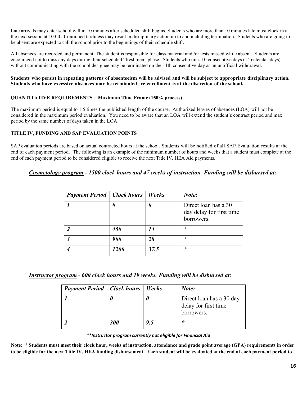Late arrivals may enter school within 10 minutes after scheduled shift begins. Students who are more than 10 minutes late must clock in at the next session at 10:00. Continued tardiness may result in disciplinary action up to and including termination. Students who are going to be absent are expected to call the school prior to the beginnings of their schedule shift.

All absences are recorded and permanent. The student is responsible for class material and /or tests missed while absent. Students are encouraged not to miss any days during their scheduled "freshmen" phase. Students who miss 10 consecutive days (14 calendar days) without communicating with the school designee may be terminated on the 11th consecutive day as an unofficial withdrawal.

#### Students who persist in repeating patterns of absenteeism will be advised and will be subject to appropriate disciplinary action. **Students who have excessive absences may be terminated; re-enrollment is at the discretion of the school.**

#### **QUANTITATIVE REQUIREMENTS = Maximum Time Frame (150% process)**

The maximum period is equal to 1.5 times the published length of the course. Authorized leaves of absences (LOA) will not be considered in the maximum period evaluation. You need to be aware that an LOA will extend the student's contract period and max period by the same number of days taken in the LOA.

#### **TITLE IV, FUNDING AND SAP EVALUATION POINTS**

SAP evaluation periods are based on actual contracted hours at the school. Students will be notified of all SAP Evaluation results at the end of each payment period. The following is an example of the minimum number of hours and weeks that a student must complete at the end of each payment period to be considered eligible to receive the next Title IV, HEA Aid payments.

#### *Cosmetology program - 1500 clock hours and 47 weeks of instruction. Funding will be disbursed at:*

| <b>Payment Period</b>   Clock hours |             | <i>Weeks</i> | Note:                                                          |
|-------------------------------------|-------------|--------------|----------------------------------------------------------------|
|                                     |             | U            | Direct loan has a 30<br>day delay for first time<br>borrowers. |
| 2                                   | 450         | 14           | ÷                                                              |
| $\boldsymbol{\beta}$                | 900         | 28           | ÷                                                              |
|                                     | <i>1200</i> | 37.5         | ÷                                                              |

*Instructor program* **-** *600 clock hours and 19 weeks. Funding will be disbursed at:*

| <b>Payment Period</b>   Clock hours   Weeks |     |     | Note:                                                          |
|---------------------------------------------|-----|-----|----------------------------------------------------------------|
|                                             |     |     | Direct loan has a 30 day<br>delay for first time<br>borrowers. |
|                                             | 300 | 9.5 | ∗                                                              |

*\*\*Instructor program currently not eligible for Financial Aid*

**Note: \* Students must meet their clock hour, weeks of instruction, attendance and grade point average (GPA) requirements in order to be eligible for the next Title IV, HEA funding disbursement. Each student will be evaluated at the end of each payment period to**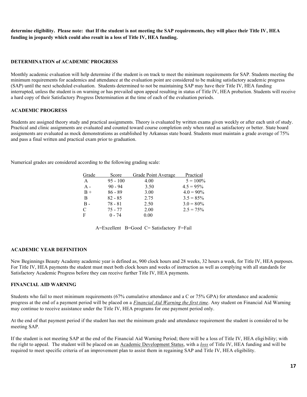**determine eligibility. Please note: that If the student is not meeting the SAP requirements, they will place their Title IV, HEA funding in jeopardy which could also result in a loss of Title IV, HEA funding.**

#### **DETERMINATION of ACADEMIC PROGRESS**

Monthly academic evaluation will help determine if the student is on track to meet the minimum requirements for SAP. Students meeting the minimum requirements for academics and attendance at the evaluation point are considered to be making satisfactory academic progress (SAP) until the next scheduled evaluation. Students determined to not be maintaining SAP may have their Title IV, HEA funding interrupted, unless the student is on warning or has prevailed upon appeal resulting in status of Title IV, HEA probation. Students will receive a hard copy of their Satisfactory Progress Determination at the time of each of the evaluation periods.

#### **ACADEMIC PROGRESS**

Students are assigned theory study and practical assignments. Theory is evaluated by written exams given weekly or after each unit of study. Practical and clinic assignments are evaluated and counted toward course completion only when rated as satisfactory or better. State board assignments are evaluated as mock demonstrations as established by Arkansas state board. Students must maintain a grade average of 75% and pass a final written and practical exam prior to graduation.

Numerical grades are considered according to the following grading scale:

| Grade      | Score      |      | Grade Point Average | Practical    |
|------------|------------|------|---------------------|--------------|
| A          | $95 - 100$ | 4.00 |                     | $5 = 100\%$  |
| $A -$      | $90 - 94$  | 3.50 |                     | $4.5 = 95\%$ |
| $B +$      | $86 - 89$  | 3.00 |                     | $4.0 = 90\%$ |
| B          | $82 - 85$  | 2.75 |                     | $3.5 = 85\%$ |
| <b>B</b> - | $78 - 81$  | 2.50 |                     | $3.0 = 80\%$ |
| C          | 75 - 77    | 2.00 |                     | $2.5 = 75\%$ |
| F          | $0 - 74$   | 0.00 |                     |              |

| A=Excellent B=Good C= Satisfactory F=Fail |
|-------------------------------------------|
|-------------------------------------------|

#### **ACADEMIC YEAR DEFINITION**

New Beginnings Beauty Academy academic year is defined as, 900 clock hours and 28 weeks, 32 hours a week, for Title IV, HEA purposes. For Title IV, HEA payments the student must meet both clock hours and weeks of instruction as well as complying with all standards for Satisfactory Academic Progress before they can receive further Title IV, HEA payments.

#### **FINANCIAL AID WARNING**

Students who fail to meet minimum requirements (67% cumulative attendance and a C or 75% GPA) for attendance and academic progress at the end of a payment period will be placed on a *Financial Aid Warning the first time*. Any student on Financial Aid Warning may continue to receive assistance under the Title IV, HEA programs for one payment period only.

At the end of that payment period if the student has met the minimum grade and attendance requirement the student is consider ed to be meeting SAP.

If the student is not meeting SAP at the end of the Financial Aid Warning Period; there will be a loss of Title IV, HEA eligi bility; with the right to appeal. The student will be placed on an Academic Development Status, with a *loss* of Title IV, HEA funding and will be required to meet specific criteria of an improvement plan to assist them in regaining SAP and Title IV, HEA eligibility.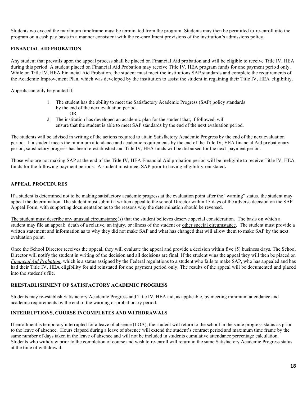Students wo exceed the maximum timeframe must be terminated from the program. Students may then be permitted to re-enroll into the program on a cash pay basis in a manner consistent with the re-enrollment provisions of the institution's admissions policy.

#### **FINANCIAL AID PROBATION**

Any student that prevails upon the appeal process shall be placed on Financial Aid probation and will be eligible to receive Title IV, HEA during this period. A student placed on Financial Aid Probation may receive Title IV, HEA program funds for one payment period only. While on Title IV. HEA Financial Aid Probation, the student must meet the institutions SAP standards and complete the requirements of the Academic Improvement Plan, which was developed by the institution to assist the student in regaining their Title IV, HEA eligibility.

Appeals can only be granted if:

- 1. The student has the ability to meet the Satisfactory Academic Progress (SAP) policy standards by the end of the next evaluation period.
	- OR
- 2. The institution has developed an academic plan for the student that, if followed, will ensure that the student is able to meet SAP standards by the end of the next evaluation period.

The students will be advised in writing of the actions required to attain Satisfactory Academic Progress by the end of the next evaluation period. If a student meets the minimum attendance and academic requirements by the end of the Title IV, HEA financial Aid probationary period, satisfactory progress has been re-established and Title IV, HEA funds will be disbursed for the next payment period.

Those who are not making SAP at the end of the Title IV, HEA Financial Aid probation period will be ineligible to receive Title IV, HEA funds for the following payment periods. A student must meet SAP prior to having eligibility reinstated**.** 

#### **APPEAL PROCEDURES**

If a student is determined not to be making satisfactory academic progress at the evaluation point after the "warning" status, the student may appeal the determination. The student must submit a written appeal to the school Director within 15 days of the adverse decision on the SAP Appeal Form, with supporting documentation as to the reasons why the determination should be reversed.

The student must describe any unusual circumstance(s) that the student believes deserve special consideration. The basis on which a student may file an appeal: death of a relative, an injury, or illness of the student or other special circumstance. The student must provide a written statement and information as to why they did not make SAP and what has changed that will allow them to make SAP by the next evaluation point.

Once the School Director receives the appeal, they will evaluate the appeal and provide a decision within five (5) business days. The School Director will notify the student in writing of the decision and all decisions are final. If the student wins the appeal they will then be placed on *Financial Aid Probation*, which is a status assigned by the Federal regulations to a student who fails to make SAP, who has appealed and has had their Title IV, HEA eligibility for aid reinstated for one payment period only. The results of the appeal will be documented and placed into the student's file.

#### **REESTABLISHMENT OF SATISFACTORY ACADEMIC PROGRESS**

Students may re-establish Satisfactory Academic Progress and Title IV, HEA aid, as applicable, by meeting minimum attendance and academic requirements by the end of the warning or probationary period.

#### **INTERRUPTIONS, COURSE INCOMPLETES AND WITHDRAWALS**

If enrollment is temporary interrupted for a leave of absence (LOA), the student will return to the school in the same progress status as prior to the leave of absence. Hours elapsed during a leave of absence will extend the student's contract period and maximum time frame by the same number of days taken in the leave of absence and will not be included in students cumulative attendance percentage calculation. Students who withdraw prior to the completion of course and wish to re-enroll will return in the same Satisfactory Academic Progress status at the time of withdrawal.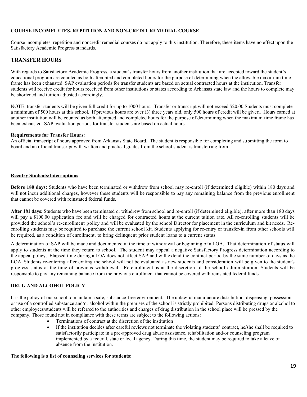#### **COURSE INCOMPLETES, REPITITION AND NON-CREDIT REMEDIAL COURSE**

Course incompletes, repetition and noncredit remedial courses do not apply to this institution. Therefore, these items have no effect upon the Satisfactory Academic Progress standards.

#### **TRANSFER HOURS**

With regards to Satisfactory Academic Progress, a student's transfer hours from another institution that are accepted toward the student's educational program are counted as both attempted and completed hours for the purpose of determining when the allowable maximum timeframe has been exhausted. SAP evaluation periods for transfer students are based on actual contracted hours at the institution. Transfer students will receive credit for hours received from other institutions or states according to Arkansas state law and the hours to complete may be shortened and tuition adjusted accordingly.

NOTE: transfer students will be given full credit for up to 1000 hours. Transfer or transcript will not exceed \$20.00 Students must complete a minimum of 500 hours at this school. If previous hours are over (3) three years old, only 500 hours of credit will be given. Hours earned at another institution will be counted as both attempted and completed hours for the purpose of determining when the maximum time frame has been exhausted. SAP evaluation periods for transfer students are based on actual hours.

#### **Requirements for Transfer Hours:**

An official transcript of hours approved from Arkansas State Board. The student is responsible for completing and submitting the form to board and an official transcript with written and practical grades from the school student is transferring from.

#### **Reentry Students/Interruptions**

**Before 180 days:** Students who have been terminated or withdrew from school may re-enroll (if determined eligible) within 180 days and will not incur additional charges, however these students will be responsible to pay any remaining balance from the previous enrollment that cannot be covered with reinstated federal funds.

**After 181 days:** Students who have been terminated or withdrew from school and re-enroll (if determined eligible), after more than 180 days will pay a \$100.00 application fee and will be charged for contracted hours at the current tuition rate. All re-enrolling students will be provided the school's re-enrollment policy and will be evaluated by the school Director for placement in the curriculum and kit needs. Reenrolling students may be required to purchase the current school kit. Students applying for re-entry or transfer-in from other schools will be required, as a condition of enrollment, to bring delinquent prior student loans to a current status.

A determination of SAP will be made and documented at the time of withdrawal or beginning of a LOA. That determination of status will apply to students at the time they return to school. The student may appeal a negative Satisfactory Progress determination according to the appeal policy. Elapsed time during a LOA does not affect SAP and will extend the contract period by the same number of days as the LOA. Students re-entering after exiting the school will not be evaluated as new students and consideration will be given to the student's progress status at the time of previous withdrawal. Re-enrollment is at the discretion of the school administration. Students will be responsible to pay any remaining balance from the previous enrollment that cannot be covered with reinstated federal funds.

#### **DRUG AND ALCOHOL POLICY**

It is the policy of our school to maintain a safe, substance-free environment. The unlawful manufacture distribution, dispensing, possession or use of a controlled substance and/or alcohol within the premises of the school is strictly prohibited. Persons distributing drugs or alcohol to other employees/students will be referred to the authorities and charges of drug distribution in the school place will be pressed by the company. Those found not in compliance with these terms are subject to the following actions:

- Terminations of contract at the discretion of the institution
- If the institution decides after careful reviews not terminate the violating students' contract, he/she shall be required to satisfactorily participate in a pre-approved drug abuse assistance, rehabilitation and/or counseling program implemented by a federal, state or local agency. During this time, the student may be required to take a leave of absence from the institution.

#### **The following is a list of counseling services for students:**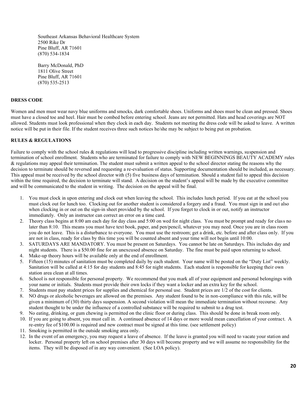Southeast Arkansas Behavioral Healthcare System 2500 Rike Dr Pine Bluff, AR 71601 (870) 534-1834

Barry McDonald, PhD 1811 Olive Street Pine Bluff, AR 71601 (870) 535-2513

#### **DRESS CODE**

Women and men must wear navy blue uniforms and smocks, dark comfortable shoes. Uniforms and shoes must be clean and pressed. Shoes must have a closed toe and heel. Hair must be combed before entering school. Jeans are not permitted. Hats and head coverings are NOT allowed. Students must look professional when they clock in each day. Students not meeting the dress code will be asked to leave. A written notice will be put in their file. If the student receives three such notices he/she may be subject to being put on probation.

#### **RULES & REGULATIONS**

Failure to comply with the school rules & regulations will lead to progressive discipline including written warnings, suspension and termination of school enrollment. Students who are terminated for failure to comply with NEW BEGINNINGS BEAUTY ACADEMY rules & regulations may appeal their termination. The student must submit a written appeal to the school director stating the reasons why the decision to terminate should be reversed and requesting a re-evaluation of status. Supporting documentation should be included, as necessary. This appeal must be received by the school director with (5) five business days of termination. Should a student fail to appeal this decision within the time required, the decision to terminate will stand. A decision on the student's appeal will be made by the executive committee and will be communicated to the student in writing. The decision on the appeal will be final.

- 1. You must clock in upon entering and clock out when leaving the school. This includes lunch period. If you eat at the school you must clock out for lunch too. Clocking out for another student is considered a forgery and a fraud. You must sign in and out also when clocking in or out on the sign-in sheet provided by the school. If you forget to clock in or out, notify an instructor immediately. Only an instructor can correct an error on a time card.
- 2. Theory class begins at 8:00 am each day for day class and 5:00 on wed for night class. You must be prompt and ready for class no later than 8:10. This means you must have text book, paper, and pen/pencil, whatever you may need. Once you are in class room you do not leave. This is a disturbance to everyone. You must use the restroom; get a drink, etc. before and after class only. If you are not in class, ready for class by this time you will be counted absent and your time will not begin until 10:00.
- 3. SATURDAYS ARE MANDATORY. You must be present on Saturdays. You cannot be late on Saturdays. This includes day and night students. There is a \$50.00 fine for an unexcused absence on Saturday. The fine must be paid upon returning to school. 4. Make-up theory hours will be available only at the end of enrollment.
- 5. Fifteen (15) minutes of sanitation must be completed daily by each student. Your name will be posted on the "Duty List" weekly. Sanitation will be called at 4:15 for day students and 8:45 for night students. Each student is responsible for keeping their own
- station area clean at all times. 6. School is not responsible for personal property. We recommend that you mark all of your equipment and personal belongings with your name or initials. Students must provide their own locks if they want a locker and an extra key for the school.
- 7. Students must pay student prices for supplies and chemical for personal use. Student prices are 1/2 of the cost for clients.
- NO drugs or alcoholic beverages are allowed on the premises. Any student found to be in non-compliance with this rule, will be given a minimum of (30) thirty days suspension. A second violation will mean the immediate termination without recourse. Any student thought to be under the influence of a controlled substance will be required to submit to a drug test.
- 9. No eating, drinking, or gum chewing is permitted on the clinic floor or during class. This should be done in break room only.
- 10. If you are going to absent, you must call in. A continued absence of 14 days or more would mean cancellation of your contract. A re-entry fee of \$100.00 is required and new contract must be signed at this time. (see settlement policy)
- 11. Smoking is permitted in the outside smoking area only.
- 12. In the event of an emergency, you may request a leave of absence. If the leave is granted you will need to vacate your station and locker. Personal property left on school premises after 30 days will become property and we will assume no responsibility for the items. They will be disposed of in any way convenient. (See LOA policy).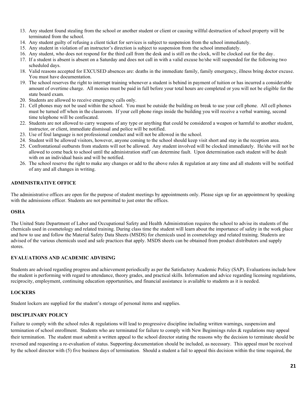- 13. Any student found stealing from the school or another student or client or causing willful destruction of school property will be terminated from the school.
- 14. Any student guilty of refusing a client ticket for services is subject to suspension from the school immediately.
- 15. Any student in violation of an instructor's direction is subject to suspension from the school immediately.
- 16. Any student, who does not respond for the third call from the desk and is still on the clock, will be clocked out for the day.
- 17. If a student is absent is absent on a Saturday and does not call in with a valid excuse he/she will suspended for the following two scheduled days.
- 18. Valid reasons accepted for EXCUSED absences are: deaths in the immediate family, family emergency, illness bring doctor excuse. You must have documentation.
- 19. The school reserves the right to interrupt training whenever a student is behind in payment of tuition or has incurred a considerable amount of overtime charge. All monies must be paid in full before your total hours are completed or you will not be eligible for the state board exam.
- 20. Students are allowed to receive emergency calls only.
- 21. Cell phones may not be used within the school. You must be outside the building on break to use your cell phone. All cell phones must be turned off when in the classroom. If your cell phone rings inside the building you will receive a verbal warning, second time telephone will be confiscated.
- 22. Students are not allowed to carry weapons of any type or anything that could be considered a weapon or harmful to another student, instructor, or client, immediate dismissal and police will be notified.
- 23. Use of foul language is not professional conduct and will not be allowed in the school.
- 24. Student will be allowed visitors, however, anyone coming to the school should keep visit short and stay in the reception area.
- 25. Confrontational outbursts from students will not be allowed. Any student involved will be clocked immediately. He/she will not be allowed to come back to school until the administration staff can determine fault. Upon determination each student will be dealt with on an individual basis and will be notified.
- 26. The school reserve the right to make any changes or add to the above rules & regulation at any time and all students will be notified of any and all changes in writing.

#### **ADMINISTRATIVE OFFICE**

The administrative offices are open for the purpose of student meetings by appointments only. Please sign up for an appointment by speaking with the admissions officer. Students are not permitted to just enter the offices.

#### **OSHA**

The United State Department of Labor and Occupational Safety and Health Administration requires the school to advise its students of the chemicals used in cosmetology and related training. During class time the student will learn about the importance of safety in the work place and how to use and follow the Material Safety Data Sheets (MSDS) for chemicals used in cosmetology and related training. Students are advised of the various chemicals used and safe practices that apply. MSDS sheets can be obtained from product distributors and supply stores.

#### **EVALUATIONS AND ACADEMIC ADVISING**

Students are advised regarding progress and achievement periodically as per the Satisfactory Academic Policy (SAP). Evaluations include how the student is performing with regard to attendance, theory grades, and practical skills. Information and advice regarding licensing regulations, reciprocity, employment, continuing education opportunities, and financial assistance is available to students as it is needed.

#### **LOCKERS**

Student lockers are supplied for the student's storage of personal items and supplies.

#### **DISCIPLINARY POLICY**

Failure to comply with the school rules & regulations will lead to progressive discipline including written warnings, suspension and termination of school enrollment. Students who are terminated for failure to comply with New Beginnings rules & regulations may appeal their termination. The student must submit a written appeal to the school director stating the reasons why the decision to terminate should be reversed and requesting a re-evaluation of status. Supporting documentation should be included, as necessary. This appeal must be received by the school director with (5) five business days of termination. Should a student a fail to appeal this decision within the time required, the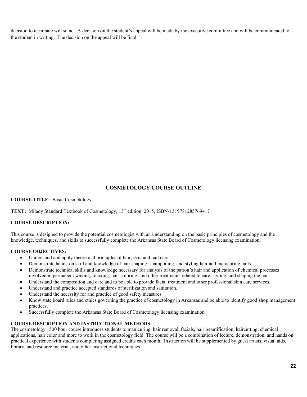decision to terminate will stand. A decision on the student's appeal will be made by the executive committee and will be communicated to the student in writing. The decision on the appeal will be final.

#### **COSMETOLOGY COURSE OUTLINE**

**COURSE TITLE:** Basic Cosmetology

**TEXT:** Milady Standard Textbook of Cosmetology, 13<sup>th</sup> edition, 2015, ISBN-13: 9781285769417

#### **COURSE DESCRIPTION:**

This course is designed to provide the potential cosmetologist with an understanding on the basic principles of cosmetology and the knowledge, techniques, and skills to successfully complete the Arkansas State Board of Cosmetology licensing examination.

#### **COURSE OBJECTIVES:**

- Understand and apply theoretical principles of hair, skin and nail care.
- Demonstrate hands-on skill and knowledge of hair shaping, shampooing, and styling hair and manicuring nails.
- Demonstrate technical skills and knowledge necessary for analysis of the patron's hair and application of chemical processes involved in permanent waving, relaxing, hair coloring, and other treatments related to care, styling, and shaping the hair.
- Understand the composition and care and to be able to provide facial treatment and other professional skin care services.
- Understand and practice accepted standards of sterilization and sanitation.
- Understand the necessity for and practice of good safety measures.
- Know state board rules and ethics governing the practice of cosmetology in Arkansas and be able to identify good shop management practices.
- Successfully complete the Arkansas State Board of Cosmetology licensing examination.

#### **COURSE DESCRIPTION AND INSTRUCTIONAL METHODS:**

The cosmetology 1500 hour course introduces students to manicuring, hair removal, facials, hair beautification, haircutting, chemical applications, hair color and more to work in the cosmetology field. The course will be a combination of lecture, demonstration, and hands on practical experience with students completing assigned credits each month. Instruction will be supplemented by guest artists, visual aids, library, and resource material, and other instructional techniques.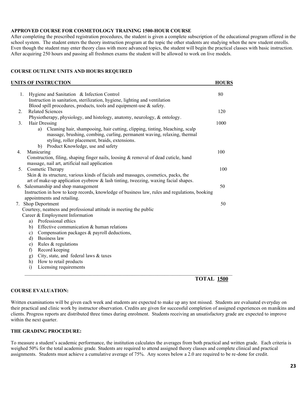#### **APPROVED COURSE FOR COSMETOLOGY TRAINING 1500-HOUR COURSE**

After completing the prescribed registration procedures, the student is given a complete subscription of the educational program offered in the school system. The student enters the theory instruction program at the topic the other students are studying when the new student enrolls. Even though the student may enter theory class with more advanced topics, the student will begin the practical classes with basic instruction. After acquiring 250 hours and passing all freshmen exams the student will be allowed to work on live models.

#### **COURSE OUTLINE UNITS AND HOURS REQUIRED**

| UNITS OF INSTRUCTION                                                                                   | <b>HOURS</b> |
|--------------------------------------------------------------------------------------------------------|--------------|
|                                                                                                        |              |
| 1.<br>Hygiene and Sanitation & Infection Control                                                       | 80           |
| Instruction in sanitation, sterilization, hygiene, lighting and ventilation                            |              |
| Blood spill procedures, products, tools and equipment-use $\&$ safety.<br><b>Related Sciences</b>      |              |
| 2 <sub>1</sub>                                                                                         | 120          |
| Physiotherapy, physiology, and histology, anatomy, neurology, & ontology.                              |              |
| Hair Dressing<br>3.                                                                                    | 1000         |
| Cleaning hair, shampooing, hair cutting, clipping, tinting, bleaching, scalp<br>a)                     |              |
| massage, brushing, combing, curling, permanent waving, relaxing, thermal                               |              |
| styling, roller placement, braids, extensions.                                                         |              |
| b) Product Knowledge, use and safety                                                                   |              |
| Manicuring<br>$\overline{4}$ .                                                                         | 100          |
| Construction, filing, shaping finger nails, loosing & removal of dead cuticle, hand                    |              |
| massage, nail art, artificial nail application<br>5.                                                   | 100          |
| Cosmetic Therapy<br>Skin & its structure, various kinds of facials and massages, cosmetics, packs, the |              |
| art of make-up application eyebrow $\&$ lash tinting, tweezing, waxing facial shapes.                  |              |
| Salesmanship and shop management<br>6.                                                                 | 50           |
| Instruction in how to keep records, knowledge of business law, rules and regulations, booking          |              |
| appointments and retailing.                                                                            |              |
| 7. Shop Deportment                                                                                     | 50           |
| Courtesy, neatness and professional attitude in meeting the public                                     |              |
| Career & Employment Information                                                                        |              |
| Professional ethics<br>a)                                                                              |              |
| Effective communication & human relations<br>b)                                                        |              |
| Compensation packages $\&$ payroll deductions,<br>c)                                                   |              |
| Business law<br>$\mathbf{d}$                                                                           |              |
| Rules $&$ regulations<br>e)                                                                            |              |
| Record keeping<br>$\mathbf{f}$                                                                         |              |
| City, state, and federal laws & taxes<br>g)                                                            |              |
| How to retail products<br>h)                                                                           |              |
| Licensing requirements<br>$\ddot{i}$                                                                   |              |
|                                                                                                        |              |
| <b>TOTAL 1500</b>                                                                                      |              |

#### **COURSE EVALUATION:**

Written examinations will be given each week and students are expected to make up any test missed. Students are evaluated everyday on their practical and clinic work by instructor observation. Credits are given for successful completion of assigned experiences on manikins and clients. Progress reports are distributed three times during enrolment. Students receiving an unsatisfactory grade are expected to improve within the next quarter.

#### **THE GRADING PROCEDURE:**

To measure a student's academic performance, the institution calculates the averages from both practical and written grade. Each criteria is weighed 50% for the total academic grade. Students are required to attend assigned theory classes and complete clinical and practical assignments. Students must achieve a cumulative average of 75%. Any scores below a 2.0 are required to be re-done for credit.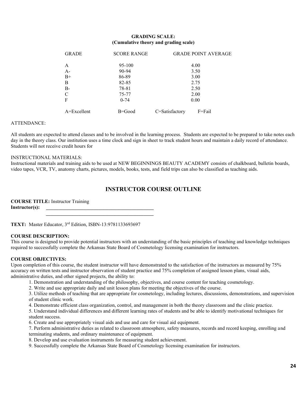#### **GRADING SCALE: (Cumulative theory and grading scale)**

| <b>GRADE</b>  | <b>SCORE RANGE</b> | <b>GRADE POINT AVERAGE</b> |  |
|---------------|--------------------|----------------------------|--|
| A             | 95-100             | 4.00                       |  |
| $A-$          | 90-94              | 3.50                       |  |
| $B+$          | 86-89              | 3.00                       |  |
| B             | 82-85              | 2.75                       |  |
| $B-$          | 78-81              | 2.50                       |  |
| $\mathcal{C}$ | 75-77              | 2.00                       |  |
| $\mathbf F$   | $0 - 74$           | 0.00                       |  |
| $A=Excellent$ | B=Good             | C=Satisfactory<br>F=Fail   |  |

#### ATTENDANCE:

All students are expected to attend classes and to be involved in the learning process. Students are expected to be prepared to take notes each day in the theory class. Our institution uses a time clock and sign in sheet to track student hours and maintain a daily record of attendance. Students will not receive credit hours for

#### INSTRUCTIONAL MATERIALS:

Instructional materials and training aids to be used at NEW BEGINNINGS BEAUTY ACADEMY consists of chalkboard, bulletin boards, video tapes, VCR, TV, anatomy charts, pictures, models, books, tests, and field trips can also be classified as teaching aids.

#### **INSTRUCTOR COURSE OUTLINE**

**COURSE TITLE:** Instructor Training Instructor(s):

**TEXT:** Master Educator, 3rd Edition, ISBN-13:9781133693697

 **\_\_\_\_\_\_\_\_\_\_\_\_\_\_\_\_\_\_\_\_\_\_\_\_\_\_\_\_\_\_\_\_\_\_\_\_\_\_\_\_\_\_\_**

#### **COURSE DESCRIPTION:**

This course is designed to provide potential instructors with an understanding of the basic principles of teaching and knowledge techniques required to successfully complete the Arkansas State Board of Cosmetology licensing examination for instructors.

#### **COURSE OBJECTIVES:**

Upon completion of this course, the student instructor will have demonstrated to the satisfaction of the instructors as measured by 75% accuracy on written tests and instructor observation of student practice and 75% completion of assigned lesson plans, visual aids, administrative duties, and other signed projects, the ability to:

- 1. Demonstration and understanding of the philosophy, objectives, and course content for teaching cosmetology.
- 2. Write and use appropriate daily and unit lesson plans for meeting the objectives of the course.

3. Utilize methods of teaching that are appropriate for cosmetology, including lectures, discussions, demonstrations, and supervision of student clinic work.

4. Demonstrate efficient class organization, control, and management in both the theory classroom and the clinic practice.

5. Understand individual differences and different learning rates of students and be able to identify motivational techniques for student success.

6. Create and use appropriately visual aids and use and care for visual aid equipment.

7. Perform administrative duties as related to classroom atmosphere, safety measures, records and record keeping, enrolling and terminating students, and ordinary maintenance of equipment.

- 8. Develop and use evaluation instruments for measuring student achievement.
- 9. Successfully complete the Arkansas State Board of Cosmetology licensing examination for instructors.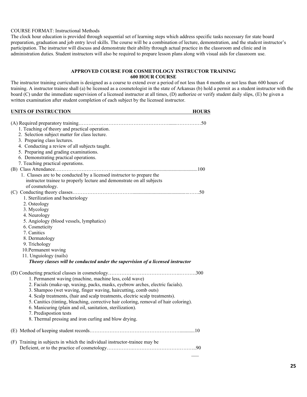#### COURSE FORMAT: Instructional Methods

The clock hour education is provided through sequential set of learning steps which address specific tasks necessary for state board preparation, graduation and job entry level skills. The course will be a combination of lecture, demonstration, and the student instructor's participation. The instructor will discuss and demonstrate their ability through actual practice in the classroom and clinic and in administration duties. Student instructors will also be required to prepare lesson plans along with visual aids for classroom use.

#### **APPROVED COURSE FOR COSMETOLOGY INSTRUCTOR TRAINING 600 HOUR COURSE**

The instructor training curriculum is designed as a course to extend over a period of not less than 4 months or not less than 600 hours of training. A instructor trainee shall (a) be licensed as a cosmetologist in the state of Arkansas (b) hold a permit as a student instructor with the board (C) under the immediate supervision of a licensed instructor at all times, (D) authorize or verify student daily slips, (E) be given a written examination after student completion of each subject by the licensed instructor.

#### **UNITS OF INSTRUCTION HOURS**

| 1. Teaching of theory and practical operation.<br>2. Selection subject matter for class lecture.<br>3. Preparing class lectures.<br>4. Conducting a review of all subjects taught.<br>5. Preparing and grading examinations.<br>6. Demonstrating practical operations.<br>7. Teaching practical operations.                                                                                                                                                                                                                        |
|------------------------------------------------------------------------------------------------------------------------------------------------------------------------------------------------------------------------------------------------------------------------------------------------------------------------------------------------------------------------------------------------------------------------------------------------------------------------------------------------------------------------------------|
| 1. Classes are to be conducted by a licensed instructor to prepare the<br>instructor trainee to properly lecture and demonstrate on all subjects<br>of cosmetology.                                                                                                                                                                                                                                                                                                                                                                |
| 1. Sterilization and bacteriology<br>2. Osteology<br>3. Mycology<br>4. Neurology<br>5. Angiology (blood vessels, lymphatics)<br>6. Cosmeticity<br>7. Canitics<br>8. Dermatology<br>9. Trichology<br>10. Permanent waving<br>11. Unguiology (nails)<br>Theory classes will be conducted under the supervision of a licensed instructor                                                                                                                                                                                              |
| 1. Permanent waving (machine, machine less, cold wave)<br>2. Facials (make-up, waxing, packs, masks, eyebrow arches, electric facials).<br>3. Shampoo (wet waving, finger waving, haircutting, comb outs)<br>4. Scalp treatments, (hair and scalp treatments, electric scalp treatments).<br>5. Canitics (tinting, bleaching, corrective hair coloring, removal of hair coloring).<br>6. Manicuring (plain and oil, sanitation, sterilization).<br>7. Predispostion tests<br>8. Thermal pressing and iron curling and blow drying. |
|                                                                                                                                                                                                                                                                                                                                                                                                                                                                                                                                    |
| (F) Training in subjects in which the individual instructor-trainee may be                                                                                                                                                                                                                                                                                                                                                                                                                                                         |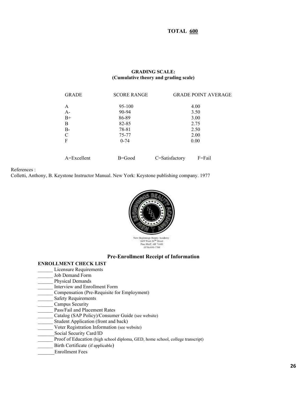**TOTAL 600**

#### **GRADING SCALE: (Cumulative theory and grading scale)**

| <b>GRADE</b>  | <b>SCORE RANGE</b> | <b>GRADE POINT AVERAGE</b> |
|---------------|--------------------|----------------------------|
| A             | 95-100             | 4.00                       |
| $A -$         | 90-94              | 3.50                       |
| $B+$          | 86-89              | 3.00                       |
| B             | 82-85              | 2.75                       |
| $B-$          | 78-81              | 2.50                       |
| $\mathcal{C}$ | 75-77              | 2.00                       |
| F             | $0 - 74$           | 0.00                       |
| $A=Excellent$ | $B = Good$         | C=Satisfactory<br>F=Fail   |

References :

Colletti, Anthony, B. Keystone Instructor Manual. New York: Keystone publishing company. 1977



#### **Pre-Enrollment Receipt of Information**

- **ENROLLMENT CHECK LIST**
- Licensure Requirements
- Job Demand Form
- Physical Demands
- \_\_\_\_\_\_ Interview and Enrollment Form
- \_\_\_\_\_\_ Compensation (Pre-Requisite for Employment)
- Safety Requirements
- Campus Security
- \_\_\_\_\_\_ Pass/Fail and Placement Rates
- Catalog (SAP Policy)/Consumer Guide (see website)
- Student Application (front and back)
- \_\_\_\_\_\_ Voter Registration Information (see website)
- Social Security Card/ID
- Proof of Education (high school diploma, GED, home school, college transcript)
- Birth Certificate (if applicable)
- \_\_\_\_\_\_Enrollment Fees